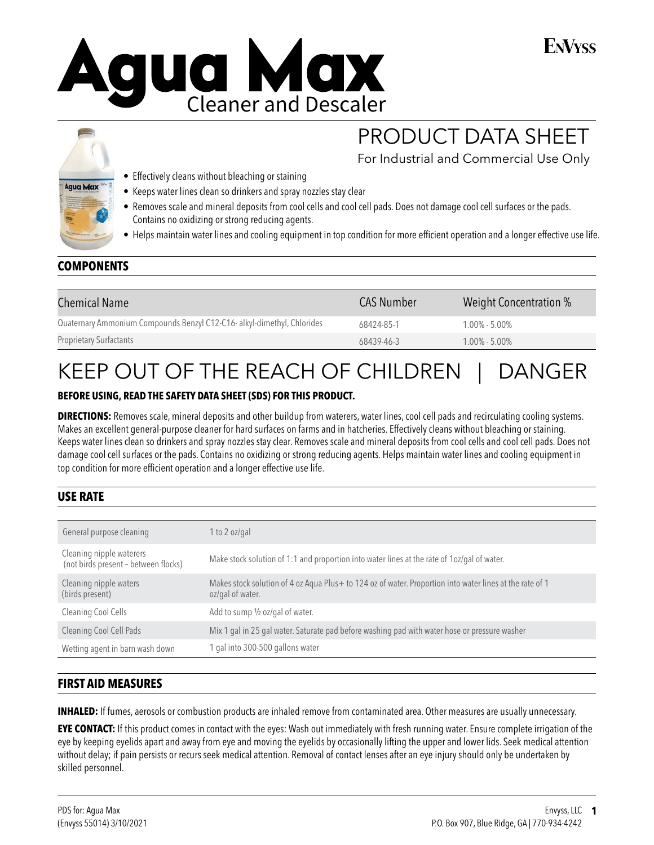



#### • Effectively cleans without bleaching or staining

- Keeps water lines clean so drinkers and spray nozzles stay clear
- Removes scale and mineral deposits from cool cells and cool cell pads. Does not damage cool cell surfaces or the pads. Contains no oxidizing or strong reducing agents.
- Helps maintain water lines and cooling equipment in top condition for more efficient operation and a longer effective use life.

# **COMPONENTS**

| <b>Chemical Name</b>                                                    | <b>CAS Number</b> | Weight Concentration % |
|-------------------------------------------------------------------------|-------------------|------------------------|
| Quaternary Ammonium Compounds Benzyl C12-C16- alkyl-dimethyl, Chlorides | 68424-85-1        | $1.00\% - 5.00\%$      |
| <b>Proprietary Surfactants</b>                                          | 68439-46-3        | $1.00\% - 5.00\%$      |

# KEEP OUT OF THE REACH OF CHILDREN | DANGER

#### **BEFORE USING, READ THE SAFETY DATA SHEET (SDS) FOR THIS PRODUCT.**

**DIRECTIONS:** Removes scale, mineral deposits and other buildup from waterers, water lines, cool cell pads and recirculating cooling systems. Makes an excellent general-purpose cleaner for hard surfaces on farms and in hatcheries. Effectively cleans without bleaching or staining. Keeps water lines clean so drinkers and spray nozzles stay clear. Removes scale and mineral deposits from cool cells and cool cell pads. Does not damage cool cell surfaces or the pads. Contains no oxidizing or strong reducing agents. Helps maintain water lines and cooling equipment in top condition for more efficient operation and a longer effective use life.

## **USE RATE**

| General purpose cleaning                                         | 1 to 2 oz/gal                                                                                                                |
|------------------------------------------------------------------|------------------------------------------------------------------------------------------------------------------------------|
| Cleaning nipple waterers<br>(not birds present - between flocks) | Make stock solution of 1:1 and proportion into water lines at the rate of 1oz/gal of water.                                  |
| Cleaning nipple waters<br>(birds present)                        | Makes stock solution of 4 oz Aqua Plus+ to 124 oz of water. Proportion into water lines at the rate of 1<br>oz/gal of water. |
| Cleaning Cool Cells                                              | Add to sump 1/2 oz/gal of water.                                                                                             |
| Cleaning Cool Cell Pads                                          | Mix 1 gal in 25 gal water. Saturate pad before washing pad with water hose or pressure washer                                |
| Wetting agent in barn wash down                                  | 1 gal into 300-500 gallons water                                                                                             |

## **FIRST AID MEASURES**

**INHALED:** If fumes, aerosols or combustion products are inhaled remove from contaminated area. Other measures are usually unnecessary.

**EYE CONTACT:** If this product comes in contact with the eyes: Wash out immediately with fresh running water. Ensure complete irrigation of the eye by keeping eyelids apart and away from eye and moving the eyelids by occasionally lifting the upper and lower lids. Seek medical attention without delay; if pain persists or recurs seek medical attention. Removal of contact lenses after an eye injury should only be undertaken by skilled personnel.

PRODUCT DATA SHEET

For Industrial and Commercial Use Only